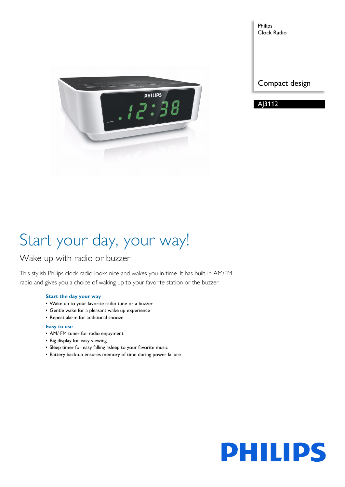

Philips Clock Radio

Compact design

A<sub>13112</sub>

# Start your day, your way!

# Wake up with radio or buzzer

This stylish Philips clock radio looks nice and wakes you in time. It has built-in AM/FM radio and gives you a choice of waking up to your favorite station or the buzzer.

### **Start the day your way**

- Wake up to your favorite radio tune or a buzzer
- Gentle wake for a pleasant wake up experience
- Repeat alarm for additional snooze

### **Easy to use**

- AM/ FM tuner for radio enjoyment
- Big display for easy viewing
- Sleep timer for easy falling asleep to your favorite music
- Battery back-up ensures memory of time during power failure